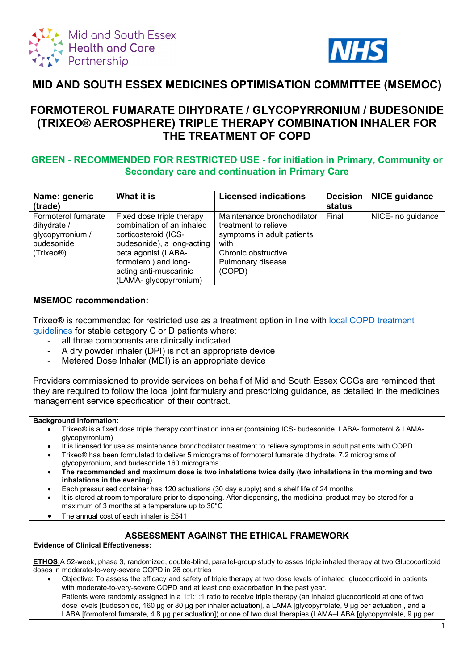



# **MID AND SOUTH ESSEX MEDICINES OPTIMISATION COMMITTEE (MSEMOC)**

# **FORMOTEROL FUMARATE DIHYDRATE / GLYCOPYRRONIUM / BUDESONIDE (TRIXEO® AEROSPHERE) TRIPLE THERAPY COMBINATION INHALER FOR THE TREATMENT OF COPD**

## **GREEN - RECOMMENDED FOR RESTRICTED USE - for initiation in Primary, Community or Secondary care and continuation in Primary Care**

| Name: generic                                                                                  | What it is                                                                                                                                                   | <b>Licensed indications</b>                                                                                                          | <b>Decision</b> | <b>NICE guidance</b> |
|------------------------------------------------------------------------------------------------|--------------------------------------------------------------------------------------------------------------------------------------------------------------|--------------------------------------------------------------------------------------------------------------------------------------|-----------------|----------------------|
| (trade)                                                                                        |                                                                                                                                                              |                                                                                                                                      | status          |                      |
| Formoterol fumarate<br>dihydrate /<br>glycopyrronium /<br>budesonide<br>(Trixeo <sup>®</sup> ) | Fixed dose triple therapy<br>combination of an inhaled<br>corticosteroid (ICS-<br>budesonide), a long-acting<br>beta agonist (LABA-<br>formoterol) and long- | Maintenance bronchodilator<br>treatment to relieve<br>symptoms in adult patients<br>with<br>Chronic obstructive<br>Pulmonary disease | Final           | NICE- no guidance    |
|                                                                                                | acting anti-muscarinic<br>(LAMA- glycopyrronium)                                                                                                             | (COPD)                                                                                                                               |                 |                      |

## **MSEMOC recommendation:**

Trixeo® is recommended for restricted use as a treatment option in line with [local COPD treatment](https://coronavirus.msehealthandcarepartnership.co.uk/respiratory-system/)  [guidelines](https://coronavirus.msehealthandcarepartnership.co.uk/respiratory-system/) for stable category C or D patients where:

- all three components are clinically indicated
- A dry powder inhaler (DPI) is not an appropriate device
- Metered Dose Inhaler (MDI) is an appropriate device

Providers commissioned to provide services on behalf of Mid and South Essex CCGs are reminded that they are required to follow the local joint formulary and prescribing guidance, as detailed in the medicines management service specification of their contract.

#### **Background information:**

- Trixeo® is a fixed dose triple therapy combination inhaler (containing ICS- budesonide, LABA- formoterol & LAMAglycopyrronium)
- It is licensed for use as maintenance bronchodilator treatment to relieve symptoms in adult patients with COPD
- Trixeo® has been formulated to deliver 5 micrograms of formoterol fumarate dihydrate, 7.2 micrograms of glycopyrronium, and budesonide 160 micrograms
- **The recommended and maximum dose is two inhalations twice daily (two inhalations in the morning and two inhalations in the evening)**
- Each pressurised container has 120 actuations (30 day supply) and a shelf life of 24 months
- It is stored at room temperature prior to dispensing. After dispensing, the medicinal product may be stored for a maximum of 3 months at a temperature up to 30°C
- The annual cost of each inhaler is £541

#### **ASSESSMENT AGAINST THE ETHICAL FRAMEWORK Evidence of Clinical Effectiveness:**

**ETHOS:**A 52-week, phase 3, randomized, double-blind, parallel-group study to asses triple inhaled therapy at two Glucocorticoid doses in moderate-to-very-severe COPD in 26 countries

• Objective: To assess the efficacy and safety of triple therapy at two dose levels of inhaled glucocorticoid in patients with moderate-to-very-severe COPD and at least one exacerbation in the past year. Patients were randomly assigned in a 1:1:1:1 ratio to receive triple therapy (an inhaled glucocorticoid at one of two dose levels [budesonide, 160 μg or 80 μg per inhaler actuation], a LAMA [glycopyrrolate, 9 μg per actuation], and a LABA [formoterol fumarate, 4.8 μg per actuation]) or one of two dual therapies (LAMA–LABA [glycopyrrolate, 9 μg per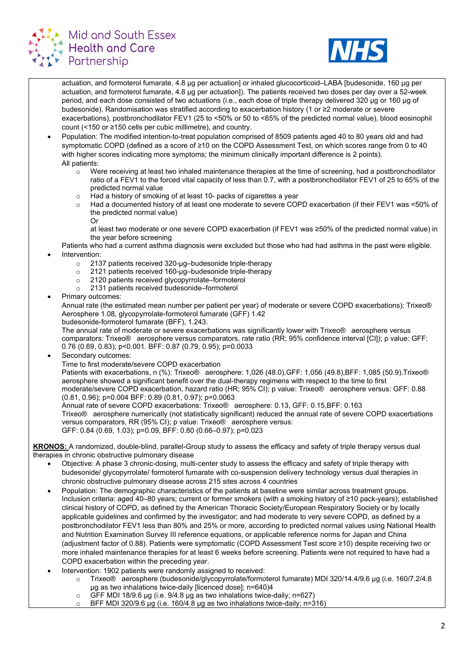



actuation, and formoterol fumarate, 4.8 μg per actuation] or inhaled glucocorticoid–LABA [budesonide, 160 μg per actuation, and formoterol fumarate, 4.8 μg per actuation]). The patients received two doses per day over a 52-week period, and each dose consisted of two actuations (i.e., each dose of triple therapy delivered 320 μg or 160 μg of budesonide). Randomisation was stratified according to exacerbation history (1 or ≥2 moderate or severe exacerbations), postbronchodilator FEV1 (25 to <50% or 50 to <65% of the predicted normal value), blood eosinophil count (<150 or ≥150 cells per cubic millimetre), and country.

- Population: The modified intention-to-treat population comprised of 8509 patients aged 40 to 80 years old and had symptomatic COPD (defined as a score of ≥10 on the COPD Assessment Test, on which scores range from 0 to 40 with higher scores indicating more symptoms; the minimum clinically important difference is 2 points). All patients:
	- $\circ$  Were receiving at least two inhaled maintenance therapies at the time of screening, had a postbronchodilator ratio of a FEV1 to the forced vital capacity of less than 0.7, with a postbronchodilator FEV1 of 25 to 65% of the predicted normal value
	- o Had a history of smoking of at least 10- packs of cigarettes a year
	- Had a documented history of at least one moderate to severe COPD exacerbation (if their FEV1 was <50% of the predicted normal value)

Or

at least two moderate or one severe COPD exacerbation (if FEV1 was ≥50% of the predicted normal value) in the year before screening

Patients who had a current asthma diagnosis were excluded but those who had had asthma in the past were eligible. Intervention:

- o 2137 patients received 320-µg–budesonide triple-therapy
- o 2121 patients received 160-µg–budesonide triple-therapy
- 2120 patients received glycopyrrolate–formoterol<br>○ 2131 patients received budesonide–formoterol
- 2131 patients received budesonide–formoterol
- Primary outcomes:

Annual rate (the estimated mean number per patient per year) of moderate or severe COPD exacerbations); Trixeo® Aerosphere 1.08, glycopyrrolate-formoterol fumarate (GFF) 1.42

budesonide-formoterol fumarate (BFF), 1.243.

The annual rate of moderate or severe exacerbations was significantly lower with Trixeo® aerosphere versus comparators: Trixeo® aerosphere versus comparators, rate ratio (RR; 95% confidence interval [CI]); p value: GFF: 0.76 (0.69, 0.83); p<0.001. BFF: 0.87 (0.79, 0.95); p=0.0033

Secondary outcomes:

Time to first moderate/severe COPD exacerbation

Patients with exacerbations, n (%): Trixeo® aerosphere: 1,026 (48.0),GFF: 1,056 (49.8),BFF: 1,085 (50.9).Trixeo® aerosphere showed a significant benefit over the dual-therapy regimens with respect to the time to first moderate/severe COPD exacerbation, hazard ratio (HR; 95% CI); p value: Trixeo® aerosphere versus: GFF: 0.88 (0.81, 0.96); p=0.004 BFF: 0.89 (0.81, 0.97); p=0.0063

Annual rate of severe COPD exacerbations: Trixeo® aerosphere: 0.13, GFF: 0.15,BFF: 0.163 Trixeo® aerosphere numerically (not statistically significant) reduced the annual rate of severe COPD exacerbations versus comparators, RR (95% CI); p value: Trixeo® aerosphere versus: GFF: 0.84 (0.69, 1.03); p=0.09, BFF: 0.80 (0.66–0.97); p=0.023

**KRONOS:** A randomized, double-blind, parallel-Group study to assess the efficacy and safety of triple therapy versus dual therapies in chronic obstructive pulmonary disease

- Objective: A phase 3 chronic-dosing, multi-center study to assess the efficacy and safety of triple therapy with budesonide/ glycopyrrolate/ formoterol fumarate with co-suspension delivery technology versus dual therapies in chronic obstructive pulmonary disease across 215 sites across 4 countries
- Population: The demographic characteristics of the patients at baseline were similar across treatment groups. Inclusion criteria: aged 40–80 years; current or former smokers (with a smoking history of ≥10 pack-years); established clinical history of COPD, as defined by the American Thoracic Society/European Respiratory Society or by locally applicable guidelines and confirmed by the investigator; and had moderate to very severe COPD, as defined by a postbronchodilator FEV1 less than 80% and 25% or more, according to predicted normal values using National Health and Nutrition Examination Survey III reference equations, or applicable reference norms for Japan and China (adjustment factor of 0.88). Patients were symptomatic (COPD Assessment Test score ≥10) despite receiving two or more inhaled maintenance therapies for at least 6 weeks before screening. Patients were not required to have had a COPD exacerbation within the preceding year.
- Intervention: 1902 patients were randomly assigned to received:
	- o Trixeo® aerosphere (budesonide/glycopyrrolate/formoterol fumarate) MDI 320/14.4/9.6 μg (i.e. 160/7.2/4.8 μg as two inhalations twice-daily [licenced dose]; n=640)4
	- o GFF MDI 18/9.6 μg (i.e. 9/4.8 μg as two inhalations twice-daily; n=627)
	- o BFF MDI 320/9.6 μg (i.e. 160/4.8 μg as two inhalations twice-daily; n=316)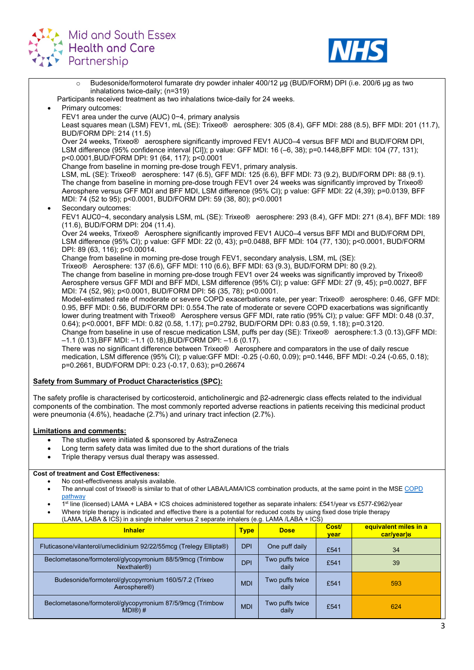



o Budesonide/formoterol fumarate dry powder inhaler 400/12 μg (BUD/FORM) DPI (i.e. 200/6 μg as two inhalations twice-daily; (n=319) Participants received treatment as two inhalations twice-daily for 24 weeks. Primary outcomes: FEV1 area under the curve (AUC) 0−4, primary analysis Least squares mean (LSM) FEV1, mL (SE): Trixeo® aerosphere: 305 (8.4), GFF MDI: 288 (8.5), BFF MDI: 201 (11.7), BUD/FORM DPI: 214 (11.5) Over 24 weeks, Trixeo® aerosphere significantly improved FEV1 AUC0–4 versus BFF MDI and BUD/FORM DPI, LSM difference (95% confidence interval [CI]); p value: GFF MDI: 16 (–6, 38); p=0.1448,BFF MDI: 104 (77, 131); p<0.0001,BUD/FORM DPI: 91 (64, 117); p<0.0001 Change from baseline in morning pre-dose trough FEV1, primary analysis. LSM, mL (SE): Trixeo® aerosphere: 147 (6.5), GFF MDI: 125 (6.6), BFF MDI: 73 (9.2), BUD/FORM DPI: 88 (9.1). The change from baseline in morning pre-dose trough FEV1 over 24 weeks was significantly improved by Trixeo® Aerosphere versus GFF MDI and BFF MDI, LSM difference (95% CI); p value: GFF MDI: 22 (4,39); p=0.0139, BFF MDI: 74 (52 to 95); p<0.0001, BUD/FORM DPI: 59 (38, 80); p<0.0001 Secondary outcomes: FEV1 AUC0−4, secondary analysis LSM, mL (SE): Trixeo® aerosphere: 293 (8.4), GFF MDI: 271 (8.4), BFF MDI: 189 (11.6), BUD/FORM DPI: 204 (11.4). Over 24 weeks, Trixeo® Aerosphere significantly improved FEV1 AUC0–4 versus BFF MDI and BUD/FORM DPI, LSM difference (95% CI); p value: GFF MDI: 22 (0, 43); p=0.0488, BFF MDI: 104 (77, 130); p<0.0001, BUD/FORM DPI: 89 (63, 116); p<0.00014. Change from baseline in morning pre-dose trough FEV1, secondary analysis, LSM, mL (SE): Trixeo® Aerosphere: 137 (6.6), GFF MDI: 110 (6.6), BFF MDI: 63 (9.3), BUD/FORM DPI: 80 (9.2). The change from baseline in morning pre-dose trough FEV1 over 24 weeks was significantly improved by Trixeo® Aerosphere versus GFF MDI and BFF MDI, LSM difference (95% CI); p value: GFF MDI: 27 (9, 45); p=0.0027, BFF MDI: 74 (52, 96); p<0.0001, BUD/FORM DPI: 56 (35, 78); p<0.0001. Model-estimated rate of moderate or severe COPD exacerbations rate, per year: Trixeo® aerosphere: 0.46, GFF MDI: 0.95, BFF MDI: 0.56, BUD/FORM DPI: 0.554.The rate of moderate or severe COPD exacerbations was significantly lower during treatment with Trixeo® Aerosphere versus GFF MDI, rate ratio (95% CI); p value: GFF MDI: 0.48 (0.37, 0.64); p<0.0001, BFF MDI: 0.82 (0.58, 1.17); p=0.2792, BUD/FORM DPI: 0.83 (0.59, 1.18); p=0.3120. Change from baseline in use of rescue medication LSM, puffs per day (SE): Trixeo® aerosphere:1.3 (0.13),GFF MDI: –1.1 (0.13),BFF MDI: –1.1 (0.18),BUD/FORM DPI: –1.6 (0.17). There was no significant difference between Trixeo® Aerosphere and comparators in the use of daily rescue medication, LSM difference (95% CI); p value:GFF MDI: -0.25 (-0.60, 0.09); p=0.1446, BFF MDI: -0.24 (-0.65, 0.18); p=0.2661, BUD/FORM DPI: 0.23 (-0.17, 0.63); p=0.26674 **Safety from Summary of Product Characteristics (SPC):**

The safety profile is characterised by corticosteroid, anticholinergic and β2-adrenergic class effects related to the individual components of the combination. The most commonly reported adverse reactions in patients receiving this medicinal product were pneumonia (4.6%), headache (2.7%) and urinary tract infection (2.7%).

### **Limitations and comments:**

- The studies were initiated & sponsored by AstraZeneca
- Long term safety data was limited due to the short durations of the trials
- Triple therapy versus dual therapy was assessed.

## **Cost of treatment and Cost Effectiveness:**

- No cost-effectiveness analysis available.
- The annual cost of trixeo® is similar to that of other LABA/LAMA/ICS combination products, at the same point in the MS[E COPD](https://coronavirus.msehealthandcarepartnership.co.uk/respiratory-system/)  [pathway](https://coronavirus.msehealthandcarepartnership.co.uk/respiratory-system/)
- 1st line (licensed) LAMA + LABA + ICS choices administered together as separate inhalers: £541/year vs £577-£962/year
- Where triple therapy is indicated and effective there is a potential for reduced costs by using fixed dose triple therapy (LAMA, LABA & ICS) in a single inhaler versus 2 separate inhalers (e.g. LAMA /LABA + ICS)

| <b>Inhaler</b>                                                                       | <b>Type</b> | <b>Dose</b>              | Cost/<br><b>vear</b> | equivalent miles in a<br>car/year)8 |
|--------------------------------------------------------------------------------------|-------------|--------------------------|----------------------|-------------------------------------|
| Fluticasone/vilanterol/umeclidinium 92/22/55mcg (Trelegy Ellipta®)                   | <b>DPI</b>  | One puff daily           | £541                 | 34                                  |
| Beclometasone/formoterol/glycopyrronium 88/5/9mcg (Trimbow<br>Nexthaler <sup>®</sup> | <b>DPI</b>  | Two puffs twice<br>daily | £541                 | 39                                  |
| Budesonide/formoterol/glycopyrronium 160/5/7.2 (Trixeo<br>Aerosphere <sup>®</sup> )  | <b>MDI</b>  | Two puffs twice<br>daily | £541                 | 593                                 |
| Beclometasone/formoterol/glycopyrronium 87/5/9mcg (Trimbow<br>$MD \otimes H$         | <b>MDI</b>  | Two puffs twice<br>daily | £541                 | 624                                 |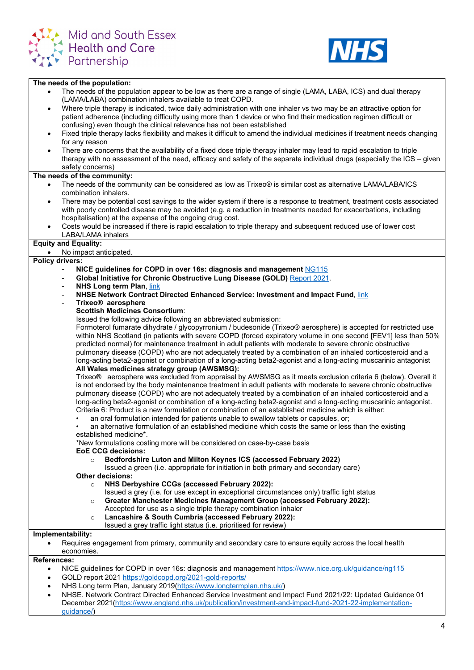



#### **The needs of the population:**

- The needs of the population appear to be low as there are a range of single (LAMA, LABA, ICS) and dual therapy (LAMA/LABA) combination inhalers available to treat COPD.
- Where triple therapy is indicated, twice daily administration with one inhaler vs two may be an attractive option for patient adherence (including difficulty using more than 1 device or who find their medication regimen difficult or confusing) even though the clinical relevance has not been established
- Fixed triple therapy lacks flexibility and makes it difficult to amend the individual medicines if treatment needs changing for any reason
- There are concerns that the availability of a fixed dose triple therapy inhaler may lead to rapid escalation to triple therapy with no assessment of the need, efficacy and safety of the separate individual drugs (especially the ICS – given safety concerns)

#### **The needs of the community:**

- The needs of the community can be considered as low as Trixeo® is similar cost as alternative LAMA/LABA/ICS combination inhalers.
- There may be potential cost savings to the wider system if there is a response to treatment, treatment costs associated with poorly controlled disease may be avoided (e.g. a reduction in treatments needed for exacerbations, including hospitalisation) at the expense of the ongoing drug cost.
- Costs would be increased if there is rapid escalation to triple therapy and subsequent reduced use of lower cost LABA/LAMA inhalers

#### **Equity and Equality:**

• No impact anticipated.

#### **Policy drivers:**

- **NICE guidelines for COPD in over 16s: diagnosis and management** [NG115](https://www.nice.org.uk/guidance/ng115)
- **Global Initiative for Chronic Obstructive Lung Disease (GOLD)** [Report 2021.](https://goldcopd.org/2021-gold-reports/)
- **NHS Long term Plan[, link](https://www.longtermplan.nhs.uk/)**
- **NHSE Network Contract Directed Enhanced Service: Investment and Impact Fund**, [link](https://www.england.nhs.uk/wp-content/uploads/2021/12/B1219-investment-and-impact-fund-implementation-guidance-2021-22-dec-21.pdf)
- **Trixeo® aerosphere**
	- **Scottish Medicines Consortium**:
		- Issued the following advice following an abbreviated submission:

Formoterol fumarate dihydrate / glycopyrronium / budesonide (Trixeo® aerosphere) is accepted for restricted use within NHS Scotland (in patients with severe COPD (forced expiratory volume in one second [FEV1] less than 50% predicted normal) for maintenance treatment in adult patients with moderate to severe chronic obstructive pulmonary disease (COPD) who are not adequately treated by a combination of an inhaled corticosteroid and a long-acting beta2-agonist or combination of a long-acting beta2-agonist and a long-acting muscarinic antagonist **All Wales medicines strategy group (AWSMSG):**

Trixeo® aerosphere was excluded from appraisal by AWSMSG as it meets exclusion criteria 6 (below). Overall it is not endorsed by the body maintenance treatment in adult patients with moderate to severe chronic obstructive pulmonary disease (COPD) who are not adequately treated by a combination of an inhaled corticosteroid and a long‑acting beta2‑agonist or combination of a long-acting beta2‑agonist and a long‑acting muscarinic antagonist. Criteria 6: Product is a new formulation or combination of an established medicine which is either:

- an oral formulation intended for patients unable to swallow tablets or capsules, or;
- an alternative formulation of an established medicine which costs the same or less than the existing established medicine\*.

\*New formulations costing more will be considered on case-by-case basis

### **EoE CCG decisions:**

o **Bedfordshire Luton and Milton Keynes ICS (accessed February 2022)**

Issued a green (i.e. appropriate for initiation in both primary and secondary care)

#### **Other decisions:**

- o **NHS Derbyshire CCGs (accessed February 2022):**
	- Issued a grey (i.e. for use except in exceptional circumstances only) traffic light status
- o **Greater Manchester Medicines Management Group (accessed February 2022):**
	- Accepted for use as a single triple therapy combination inhaler
- o **Lancashire & South Cumbria (accessed February 2022):**
- Issued a grey traffic light status (i.e. prioritised for review)

#### **Implementability:**

• Requires engagement from primary, community and secondary care to ensure equity across the local health economies.

#### **References:**

- NICE guidelines for COPD in over 16s: diagnosis and management<https://www.nice.org.uk/guidance/ng115>
- GOLD report 2021<https://goldcopd.org/2021-gold-reports/>
- NHS Long term Plan, January 2019[\(](https://www.longtermplan.nhs.uk/)[https://www.longtermplan.nhs.uk/\)](https://www.longtermplan.nhs.uk/)
- NHSE. Network Contract Directed Enhanced Service Investment and Impact Fund 2021/22: Updated Guidance 01 December 2021[\(https://www.england.nhs.uk/publication/investment-and-impact-fund-2021-22-implementation](https://www.england.nhs.uk/publication/investment-and-impact-fund-2021-22-implementation-guidance/)[guidance/\)](https://www.england.nhs.uk/publication/investment-and-impact-fund-2021-22-implementation-guidance/)